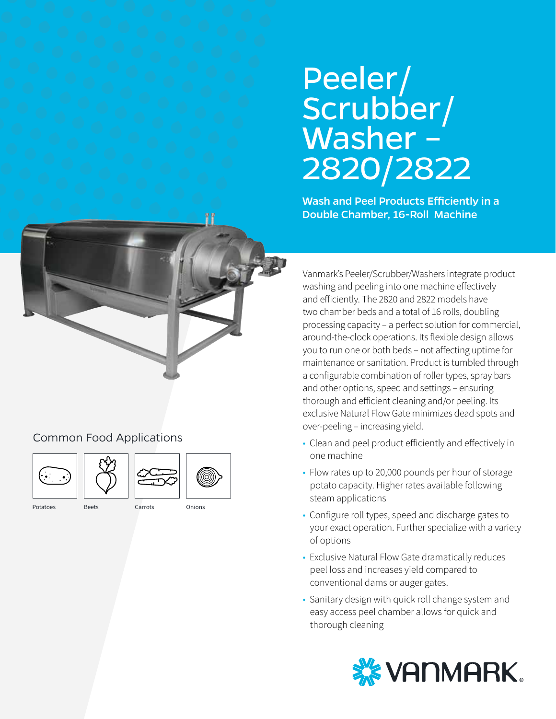# Peeler/ Scrubber/ Washer – 2820/2822

Wash and Peel Products Efficiently in a Double Chamber, 16-Roll Machine



## Common Food Applications







Potatoes Beets Carrots Onions

- -

Vanmark's Peeler/Scrubber/Washers integrate product washing and peeling into one machine effectively and efficiently. The 2820 and 2822 models have two chamber beds and a total of 16 rolls, doubling processing capacity – a perfect solution for commercial, around-the-clock operations. Its flexible design allows you to run one or both beds – not affecting uptime for maintenance or sanitation. Product is tumbled through a configurable combination of roller types, spray bars and other options, speed and settings – ensuring thorough and efficient cleaning and/or peeling. Its exclusive Natural Flow Gate minimizes dead spots and over-peeling – increasing yield.

- Clean and peel product efficiently and effectively in one machine
- Flow rates up to 20,000 pounds per hour of storage potato capacity. Higher rates available following steam applications
- Configure roll types, speed and discharge gates to your exact operation. Further specialize with a variety of options
- Exclusive Natural Flow Gate dramatically reduces peel loss and increases yield compared to conventional dams or auger gates.
- Sanitary design with quick roll change system and easy access peel chamber allows for quick and thorough cleaning